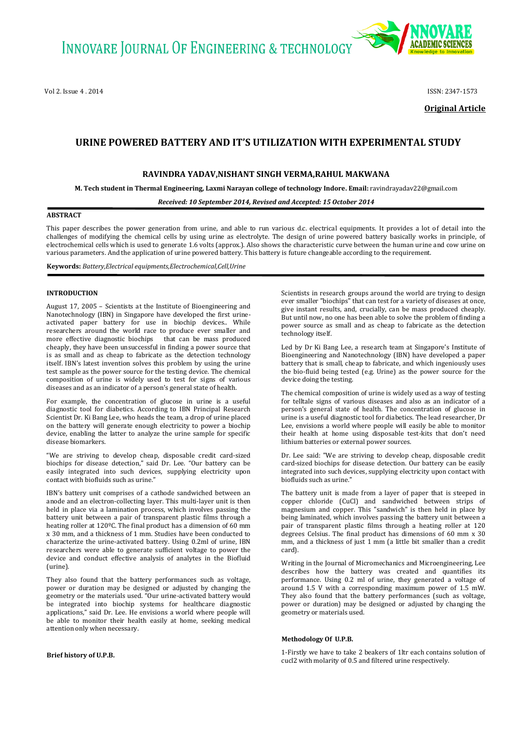Vol 2, Issue 4 , 2014 ISSN: 2347-1573



**Original Article**

# **URINE POWERED BATTERY AND IT'S UTILIZATION WITH EXPERIMENTAL STUDY**

# **RAVINDRA YADAV,NISHANT SINGH VERMA,RAHUL MAKWANA**

**M. Tech student in Thermal Engineering, Laxmi Narayan college of technology Indore. Email:** ravindrayadav22@gmail.com

*Received: 10 September 2014, Revised and Accepted: 15 October 2014*

# **ABSTRACT**

This paper describes the power generation from urine, and able to run various d.c. electrical equipments. It provides a lot of detail into the challenges of modifying the chemical cells by using urine as electrolyte. The design of urine powered battery basically works in principle, of electrochemical cells which is used to generate 1.6 volts (approx.). Also shows the characteristic curve between the human urine and cow urine on various parameters. And the application of urine powered battery. This battery is future changeable according to the requirement.

**Keywords:** *Battery,Electrical equipments,Electrochemical,Cell,Urine*

# **INTRODUCTION**

August 17, 2005 – Scientists at the Institute of Bioengineering and Nanotechnology (IBN) in Singapore have developed the first urineactivated paper battery for use in biochip devices.. While researchers around the world race to produce ever smaller and more effective diagnostic biochips that can be mass produced cheaply, they have been unsuccessful in finding a power source that is as small and as cheap to fabricate as the detection technology itself. IBN's latest invention solves this problem by using the urine test sample as the power source for the testing device. The chemical composition of urine is widely used to test for signs of various diseases and as an indicator of a person's general state of health.

For example, the concentration of glucose in urine is a useful diagnostic tool for diabetics. According to IBN Principal Research Scientist Dr. Ki Bang Lee, who heads the team, a drop of urine placed on the battery will generate enough electricity to power a biochip device, enabling the latter to analyze the urine sample for specific disease biomarkers.

"We are striving to develop cheap, disposable credit card-sized biochips for disease detection," said Dr. Lee. "Our battery can be easily integrated into such devices, supplying electricity upon contact with biofluids such as urine."

IBN's battery unit comprises of a cathode sandwiched between an anode and an electron-collecting layer. This multi-layer unit is then held in place via a lamination process, which involves passing the battery unit between a pair of transparent plastic films through a heating roller at 120ºC. The final product has a dimension of 60 mm x 30 mm, and a thickness of 1 mm. Studies have been conducted to characterize the urine-activated battery. Using 0.2ml of urine, IBN researchers were able to generate sufficient voltage to power the device and conduct effective analysis of analytes in the Biofluid (urine).

They also found that the battery performances such as voltage, power or duration may be designed or adjusted by changing the geometry or the materials used. "Our urine-activated battery would be integrated into biochip systems for healthcare diagnostic applications," said Dr. Lee. He envisions a world where people will be able to monitor their health easily at home, seeking medical attention only when necessary.

Scientists in research groups around the world are trying to design ever smaller "biochips" that can test for a variety of diseases at once, give instant results, and, crucially, can be mass produced cheaply. But until now, no one has been able to solve the problem of finding a power source as small and as cheap to fabricate as the detection technology itself.

Led by Dr Ki Bang Lee, a research team at Singapore's Institute of Bioengineering and Nanotechnology (IBN) have developed a paper battery that is small, cheap to fabricate, and which ingeniously uses the bio-fluid being tested (e.g. Urine) as the power source for the device doing the testing.

The chemical composition of urine is widely used as a way of testing for telltale signs of various diseases and also as an indicator of a person's general state of health. The concentration of glucose in urine is a useful diagnostic tool for diabetics. The lead researcher, Dr Lee, envisions a world where people will easily be able to monitor their health at home using disposable test-kits that don't need lithium batteries or external power sources.

Dr. Lee said: "We are striving to develop cheap, disposable credit card-sized biochips for disease detection. Our battery can be easily integrated into such devices, supplying electricity upon contact with biofluids such as urine."

The battery unit is made from a layer of paper that is steeped in copper chloride (CuCl) and sandwiched between strips of magnesium and copper. This "sandwich" is then held in place by being laminated, which involves passing the battery unit between a pair of transparent plastic films through a heating roller at 120 degrees Celsius. The final product has dimensions of 60 mm x 30 mm, and a thickness of just 1 mm (a little bit smaller than a credit card).

Writing in the Journal of Micromechanics and Microengineering, Lee describes how the battery was created and quantifies its performance. Using 0.2 ml of urine, they generated a voltage of around 1.5 V with a corresponding maximum power of 1.5 mW. They also found that the battery performances (such as voltage, power or duration) may be designed or adjusted by changing the geometry or materials used.

#### **Methodology Of U.P.B.**

1-Firstly we have to take 2 beakers of 1ltr each contains solution of cucl2 with molarity of 0.5 and filtered urine respectively.

## **Brief history of U.P.B.**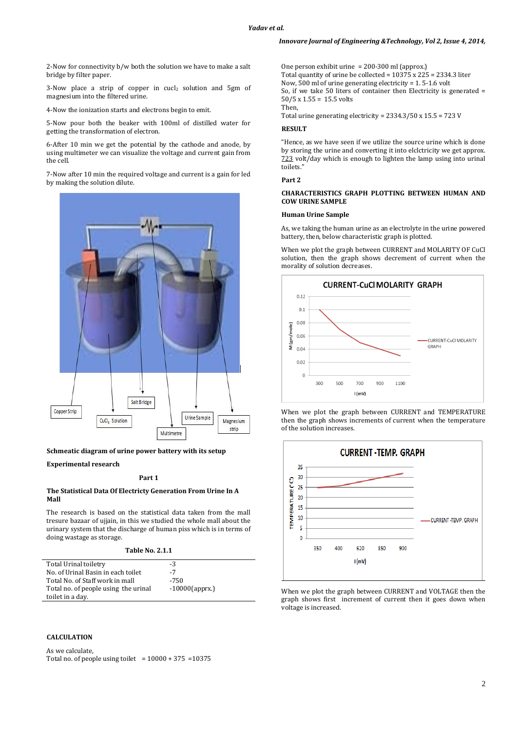2-Now for connectivity b/w both the solution we have to make a salt bridge by filter paper.

3-Now place a strip of copper in cucl<sub>2</sub> solution and 5gm of magnesium into the filtered urine.

4-Now the ionization starts and electrons begin to emit.

5-Now pour both the beaker with 100ml of distilled water for getting the transformation of electron.

6-After 10 min we get the potential by the cathode and anode, by using multimeter we can visualize the voltage and current gain from the cell.

7-Now after 10 min the required voltage and current is a gain for led by making the solution dilute.



# **Schmeatic diagram of urine power battery with its setup**

#### **Experimental research**

#### **Part 1**

#### **The Statistical Data Of Electricty Generation From Urine In A Mall**

The research is based on the statistical data taken from the mall tresure bazaar of ujjain, in this we studied the whole mall about the urinary system that the discharge of human piss which is in terms of doing wastage as storage.

| <b>Table No. 2.1.1</b> |  |  |  |
|------------------------|--|--|--|
|------------------------|--|--|--|

| Total Urinal toiletry                | -3                |
|--------------------------------------|-------------------|
| No. of Urinal Basin in each toilet   | -7                |
| Total No. of Staff work in mall      | -750              |
| Total no. of people using the urinal | $-10000$ (apprx.) |
| toilet in a day.                     |                   |

## **CALCULATION**

As we calculate, Total no. of people using toilet =  $10000 + 375 = 10375$  One person exhibit urine = 200-300 ml (approx.) Total quantity of urine be collected = 10375 x 225 = 2334.3 liter Now, 500 ml of urine generating electricity = 1. 5-1.6 volt So, if we take 50 liters of container then Electricity is generated = 50/5 x 1.55 = 15.5 volts Then,

Total urine generating electricity = 2334.3/50 x 15.5 = 723 V

# **RESULT**

"Hence, as we have seen if we utilize the source urine which is done by storing the urine and converting it into elclctricity we get approx. 723 volt/day which is enough to lighten the lamp using into urinal toilets."

**Part 2** 

## **CHARACTERISTICS GRAPH PLOTTING BETWEEN HUMAN AND COW URINE SAMPLE**

#### **Human Urine Sample**

As, we taking the human urine as an electrolyte in the urine powered battery, then, below characteristic graph is plotted.

When we plot the graph between CURRENT and MOLARITY OF CuCl solution, then the graph shows decrement of current when the morality of solution decreases.



When we plot the graph between CURRENT and TEMPERATURE then the graph shows increments of current when the temperature of the solution increases.



When we plot the graph between CURRENT and VOLTAGE then the graph shows first increment of current then it goes down when voltage is increased.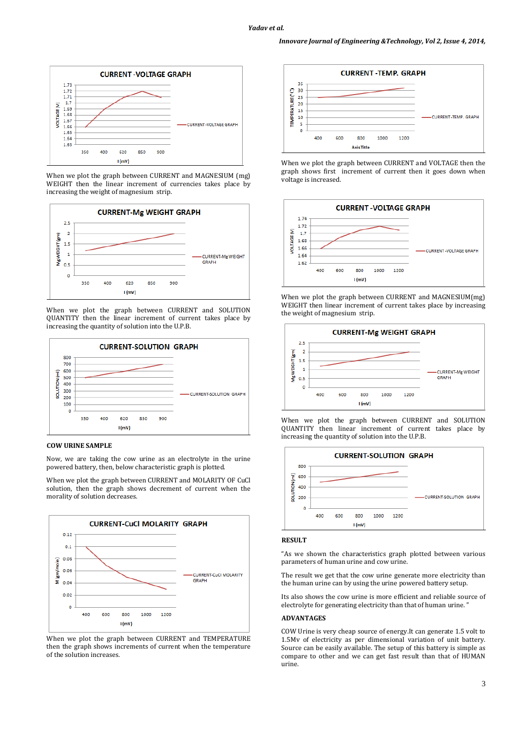

When we plot the graph between CURRENT and MAGNESIUM (mg) WEIGHT then the linear increment of currencies takes place by increasing the weight of magnesium strip.



When we plot the graph between CURRENT and SOLUTION QUANTITY then the linear increment of current takes place by increasing the quantity of solution into the U.P.B.



# **COW URINE SAMPLE**

Now, we are taking the cow urine as an electrolyte in the urine powered battery, then, below characteristic graph is plotted.

When we plot the graph between CURRENT and MOLARITY OF CuCl solution, then the graph shows decrement of current when the morality of solution decreases.



When we plot the graph between CURRENT and TEMPERATURE then the graph shows increments of current when the temperature of the solution increases.







When we plot the graph between CURRENT and MAGNESIUM(mg) WEIGHT then linear increment of current takes place by increasing the weight of magnesium strip.







## **RESULT**

"As we shown the characteristics graph plotted between various parameters of human urine and cow urine.

The result we get that the cow urine generate more electricity than the human urine can by using the urine powered battery setup.

Its also shows the cow urine is more efficient and reliable source of electrolyte for generating electricity than that of human urine.'

#### **ADVANTAGES**

COW Urine is very cheap source of energy.It can generate 1.5 volt to 1.5Mv of electricity as per dimensional variation of unit battery. Source can be easily available. The setup of this battery is simple as compare to other and we can get fast result than that of HUMAN urine.